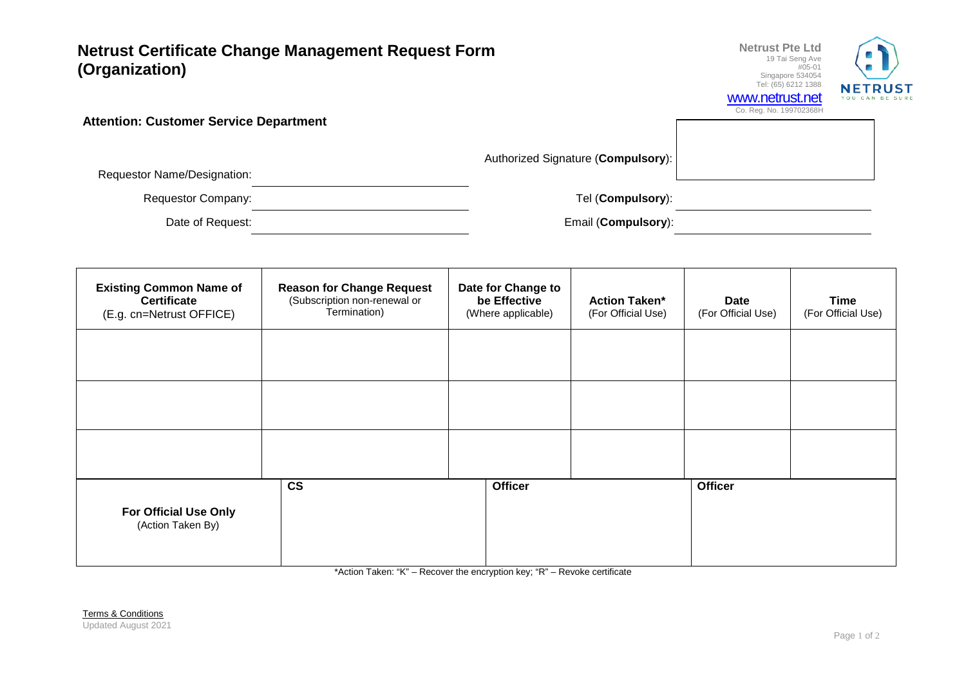## **Netrust Certificate Change Management Request Form (Organization)**



**Attention: Customer Service Department**

Authorized Signature (**Compulsory**):

Requestor Name/Designation:

Requestor Company: Tel (**Compulsory**):

Date of Request: Email (**Compulsory**):

| <b>Existing Common Name of</b><br><b>Certificate</b><br>(E.g. cn=Netrust OFFICE) | <b>Reason for Change Request</b><br>(Subscription non-renewal or<br>Termination) | Date for Change to<br>be Effective<br>(Where applicable) | <b>Action Taken*</b><br>(For Official Use) | <b>Date</b><br>(For Official Use) | <b>Time</b><br>(For Official Use) |
|----------------------------------------------------------------------------------|----------------------------------------------------------------------------------|----------------------------------------------------------|--------------------------------------------|-----------------------------------|-----------------------------------|
|                                                                                  |                                                                                  |                                                          |                                            |                                   |                                   |
|                                                                                  |                                                                                  |                                                          |                                            |                                   |                                   |
|                                                                                  |                                                                                  |                                                          |                                            |                                   |                                   |
| <b>For Official Use Only</b><br>(Action Taken By)                                | $\mathsf{CS}\phantom{0}$                                                         | <b>Officer</b>                                           |                                            | <b>Officer</b>                    |                                   |

\*Action Taken: "K" – Recover the encryption key; "R" – Revoke certificate